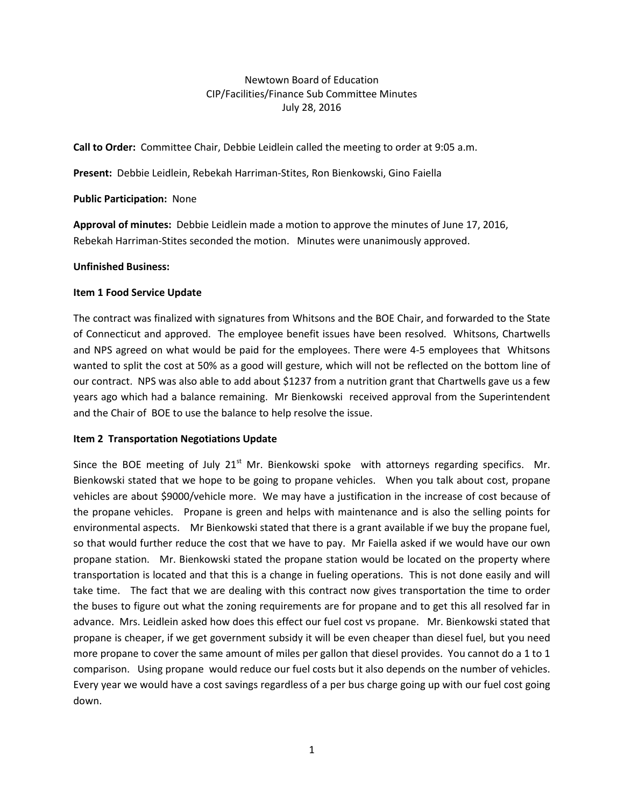## Newtown Board of Education CIP/Facilities/Finance Sub Committee Minutes July 28, 2016

**Call to Order:** Committee Chair, Debbie Leidlein called the meeting to order at 9:05 a.m.

**Present:** Debbie Leidlein, Rebekah Harriman-Stites, Ron Bienkowski, Gino Faiella

**Public Participation:** None

**Approval of minutes:** Debbie Leidlein made a motion to approve the minutes of June 17, 2016, Rebekah Harriman-Stites seconded the motion. Minutes were unanimously approved.

### **Unfinished Business:**

### **Item 1 Food Service Update**

The contract was finalized with signatures from Whitsons and the BOE Chair, and forwarded to the State of Connecticut and approved. The employee benefit issues have been resolved. Whitsons, Chartwells and NPS agreed on what would be paid for the employees. There were 4-5 employees that Whitsons wanted to split the cost at 50% as a good will gesture, which will not be reflected on the bottom line of our contract. NPS was also able to add about \$1237 from a nutrition grant that Chartwells gave us a few years ago which had a balance remaining. Mr Bienkowski received approval from the Superintendent and the Chair of BOE to use the balance to help resolve the issue.

## **Item 2 Transportation Negotiations Update**

Since the BOE meeting of July  $21<sup>st</sup>$  Mr. Bienkowski spoke with attorneys regarding specifics. Mr. Bienkowski stated that we hope to be going to propane vehicles. When you talk about cost, propane vehicles are about \$9000/vehicle more. We may have a justification in the increase of cost because of the propane vehicles. Propane is green and helps with maintenance and is also the selling points for environmental aspects. Mr Bienkowski stated that there is a grant available if we buy the propane fuel, so that would further reduce the cost that we have to pay. Mr Faiella asked if we would have our own propane station. Mr. Bienkowski stated the propane station would be located on the property where transportation is located and that this is a change in fueling operations. This is not done easily and will take time. The fact that we are dealing with this contract now gives transportation the time to order the buses to figure out what the zoning requirements are for propane and to get this all resolved far in advance. Mrs. Leidlein asked how does this effect our fuel cost vs propane. Mr. Bienkowski stated that propane is cheaper, if we get government subsidy it will be even cheaper than diesel fuel, but you need more propane to cover the same amount of miles per gallon that diesel provides. You cannot do a 1 to 1 comparison. Using propane would reduce our fuel costs but it also depends on the number of vehicles. Every year we would have a cost savings regardless of a per bus charge going up with our fuel cost going down.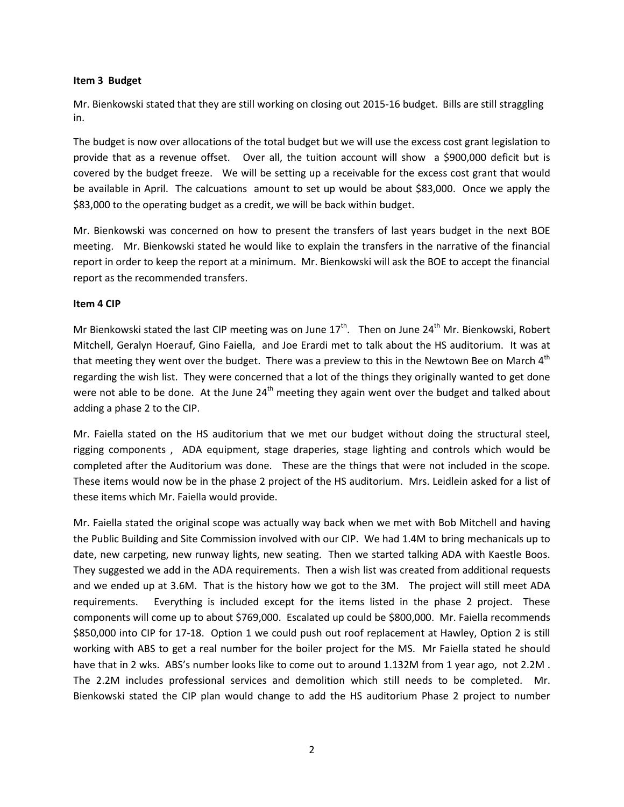#### **Item 3 Budget**

Mr. Bienkowski stated that they are still working on closing out 2015-16 budget. Bills are still straggling in.

The budget is now over allocations of the total budget but we will use the excess cost grant legislation to provide that as a revenue offset. Over all, the tuition account will show a \$900,000 deficit but is covered by the budget freeze. We will be setting up a receivable for the excess cost grant that would be available in April. The calcuations amount to set up would be about \$83,000. Once we apply the \$83,000 to the operating budget as a credit, we will be back within budget.

Mr. Bienkowski was concerned on how to present the transfers of last years budget in the next BOE meeting. Mr. Bienkowski stated he would like to explain the transfers in the narrative of the financial report in order to keep the report at a minimum. Mr. Bienkowski will ask the BOE to accept the financial report as the recommended transfers.

## **Item 4 CIP**

Mr Bienkowski stated the last CIP meeting was on June  $17<sup>th</sup>$ . Then on June  $24<sup>th</sup>$  Mr. Bienkowski, Robert Mitchell, Geralyn Hoerauf, Gino Faiella, and Joe Erardi met to talk about the HS auditorium. It was at that meeting they went over the budget. There was a preview to this in the Newtown Bee on March  $4<sup>th</sup>$ regarding the wish list. They were concerned that a lot of the things they originally wanted to get done were not able to be done. At the June  $24<sup>th</sup>$  meeting they again went over the budget and talked about adding a phase 2 to the CIP.

Mr. Faiella stated on the HS auditorium that we met our budget without doing the structural steel, rigging components , ADA equipment, stage draperies, stage lighting and controls which would be completed after the Auditorium was done. These are the things that were not included in the scope. These items would now be in the phase 2 project of the HS auditorium. Mrs. Leidlein asked for a list of these items which Mr. Faiella would provide.

Mr. Faiella stated the original scope was actually way back when we met with Bob Mitchell and having the Public Building and Site Commission involved with our CIP. We had 1.4M to bring mechanicals up to date, new carpeting, new runway lights, new seating. Then we started talking ADA with Kaestle Boos. They suggested we add in the ADA requirements. Then a wish list was created from additional requests and we ended up at 3.6M. That is the history how we got to the 3M. The project will still meet ADA requirements. Everything is included except for the items listed in the phase 2 project. These components will come up to about \$769,000. Escalated up could be \$800,000. Mr. Faiella recommends \$850,000 into CIP for 17-18. Option 1 we could push out roof replacement at Hawley, Option 2 is still working with ABS to get a real number for the boiler project for the MS. Mr Faiella stated he should have that in 2 wks. ABS's number looks like to come out to around 1.132M from 1 year ago, not 2.2M . The 2.2M includes professional services and demolition which still needs to be completed. Mr. Bienkowski stated the CIP plan would change to add the HS auditorium Phase 2 project to number